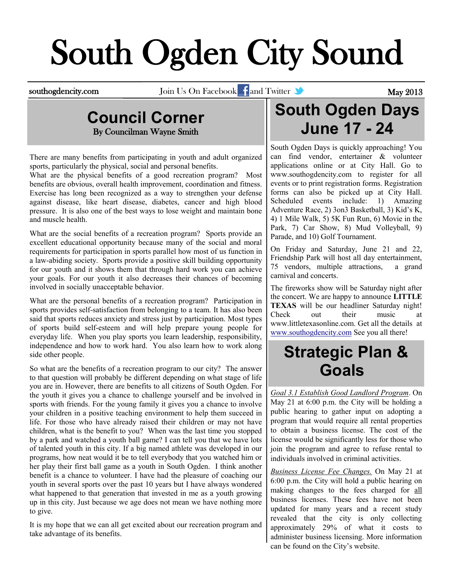# South Ogden City Sound

southogdencity.com Join Us On Facebook and Twitter **and Twitter May 2013** 

## **Council Corner** By Councilman Wayne Smith

There are many benefits from participating in youth and adult organized sports, particularly the physical, social and personal benefits.

What are the physical benefits of a good recreation program? Most benefits are obvious, overall health improvement, coordination and fitness. Exercise has long been recognized as a way to strengthen your defense against disease, like heart disease, diabetes, cancer and high blood pressure. It is also one of the best ways to lose weight and maintain bone and muscle health.

What are the social benefits of a recreation program? Sports provide an excellent educational opportunity because many of the social and moral requirements for participation in sports parallel how most of us function in a law-abiding society. Sports provide a positive skill building opportunity for our youth and it shows them that through hard work you can achieve your goals. For our youth it also decreases their chances of becoming involved in socially unacceptable behavior.

What are the personal benefits of a recreation program? Participation in sports provides self-satisfaction from belonging to a team. It has also been said that sports reduces anxiety and stress just by participation. Most types of sports build self-esteem and will help prepare young people for everyday life. When you play sports you learn leadership, responsibility, independence and how to work hard. You also learn how to work along side other people.

So what are the benefits of a recreation program to our city? The answer to that question will probably be different depending on what stage of life you are in. However, there are benefits to all citizens of South Ogden. For the youth it gives you a chance to challenge yourself and be involved in sports with friends. For the young family it gives you a chance to involve your children in a positive teaching environment to help them succeed in life. For those who have already raised their children or may not have children, what is the benefit to you? When was the last time you stopped by a park and watched a youth ball game? I can tell you that we have lots of talented youth in this city. If a big named athlete was developed in our programs, how neat would it be to tell everybody that you watched him or her play their first ball game as a youth in South Ogden. I think another benefit is a chance to volunteer. I have had the pleasure of coaching our youth in several sports over the past 10 years but I have always wondered what happened to that generation that invested in me as a youth growing up in this city. Just because we age does not mean we have nothing more to give.

It is my hope that we can all get excited about our recreation program and take advantage of its benefits.

# **South Ogden Days June 17 - 24**

South Ogden Days is quickly approaching! You can find vendor, entertainer & volunteer applications online or at City Hall. Go to [www.southogdencity.com](http://www.SouthOgdenCity.com) to register for all events or to print registration forms. Registration forms can also be picked up at City Hall. Scheduled events include: 1) Amazing Adventure Race, 2) 3on3 Basketball, 3) Kid's K, 4) 1 Mile Walk, 5) 5K Fun Run, 6) Movie in the Park, 7) Car Show, 8) Mud Volleyball, 9) Parade, and 10) Golf Tournament.

On Friday and Saturday, June 21 and 22, Friendship Park will host all day entertainment, 75 vendors, multiple attractions, a grand carnival and concerts.

The fireworks show will be Saturday night after the concert. We are happy to announce **LITTLE TEXAS** will be our headliner Saturday night! Check out their music at [www.littletexasonline.com.](http://www.littletexasonline.com) Get all the details at [www.southogdencity.com](http://www.SouthOgdenCity.com) See you all there!

# **Strategic Plan & Goals**

*Goal 3.1 Establish Good Landlord Program*. On May 21 at 6:00 p.m. the City will be holding a public hearing to gather input on adopting a program that would require all rental properties to obtain a business license. The cost of the license would be significantly less for those who join the program and agree to refuse rental to individuals involved in criminal activities.

*Business License Fee Changes.* On May 21 at 6:00 p.m. the City will hold a public hearing on making changes to the fees charged for all business licenses. These fees have not been updated for many years and a recent study revealed that the city is only collecting approximately 29% of what it costs to administer business licensing. More information can be found on the City's website.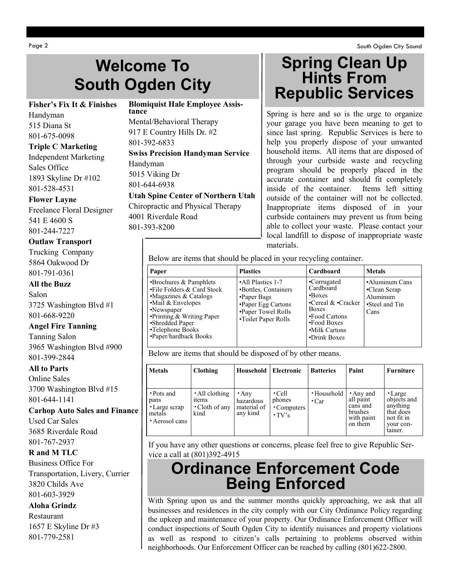# **Welcome To South Ogden City**

### **Fisher's Fix It & Finishes**

Handyman 515 Diana St 801-675-0098

**Triple C Marketing** Independent Marketing Sales Office 1893 Skyline Dr #102 801-528-4531

#### **Flower Layne**

Freelance Floral Designer 541 E 4600 S 801-244-7227

## **Outlaw Transport**

Trucking Company 5864 Oakwood Dr 801-791-0361

#### **All the Buzz**

Salon 3725 Washington Blvd #1 801-668-9220

#### **Angel Fire Tanning**

Tanning Salon 3965 Washington Blvd #900 801-399-2844

#### **All to Parts**

Online Sales 3700 Washington Blvd #15 801-644-1141

**Carhop Auto Sales and Finance**

Used Car Sales 3685 Riverdale Road 801-767-2937

## **R and M TLC**

Business Office For Transportation, Livery, Currier 3820 Childs Ave 801-603-3929

#### **Aloha Grindz**

Restaurant 1657 E Skyline Dr #3 801-779-2581

## **Blomiquist Hale Employee Assistance** Mental/Behavioral Therapy 917 E Country Hills Dr. #2 801-392-6833 **Swiss Precision Handyman Service** Handyman 5015 Viking Dr 801-644-6938

**Utah Spine Center of Northern Utah** Chiropractic and Physical Therapy

4001 Riverdale Road 801-393-8200

## **Spring Clean Up Hints From Republic Services**

Spring is here and so is the urge to organize your garage you have been meaning to get to since last spring. Republic Services is here to help you properly dispose of your unwanted household items. All items that are disposed of through your curbside waste and recycling program should be properly placed in the accurate container and should fit completely inside of the container. Items left sitting outside of the container will not be collected. Inappropriate items disposed of in your curbside containers may prevent us from being able to collect your waste. Please contact your local landfill to dispose of inappropriate waste materials.

Below are items that should be placed in your recycling container.

| Paper                                                                                                                                                                                                                              | <b>Plastics</b>                                                                                                             | Cardboard                                                                                                                                          | <b>Metals</b>                                                        |
|------------------------------------------------------------------------------------------------------------------------------------------------------------------------------------------------------------------------------------|-----------------------------------------------------------------------------------------------------------------------------|----------------------------------------------------------------------------------------------------------------------------------------------------|----------------------------------------------------------------------|
| $\cdot$ Brochures & Pamphlets<br>•File Folders & Card Stock<br>•Magazines & Catalogs<br>$\cdot$ Mail & Envelopes<br>•Newspaper<br>$\cdot$ Printing & Writing Paper<br>•Shredded Paper<br>•Telephone Books<br>•Paper/hardback Books | •All Plastics 1-7<br>•Bottles, Containers<br>•Paper Bags<br>•Paper Egg Cartons<br>•Paper Towel Rolls<br>•Toilet Paper Rolls | •Corrugated<br>Cardboard<br>$\cdot$ Boxes<br>•Cereal $&$ •Cracker<br><b>Boxes</b><br>•Food Cartons<br>•Food Boxes<br>•Milk Cartons<br>•Drink Boxes | •Aluminum Cans<br>•Clean Scrap<br>Aluminum<br>•Steel and Tin<br>Cans |

Below are items that should be disposed of by other means.

| <b>Metals</b>                                                   | <b>Clothing</b>                                               | Household                                           | Electronic                                            | <b>Batteries</b>           | Paint                                                                  | <b>Furniture</b>                                                                      |
|-----------------------------------------------------------------|---------------------------------------------------------------|-----------------------------------------------------|-------------------------------------------------------|----------------------------|------------------------------------------------------------------------|---------------------------------------------------------------------------------------|
| • Pots and<br>pans<br>• Large scrap<br>metals<br>• Aerosol cans | • All clothing<br><sub>1</sub> tems<br>• Cloth of any<br>kind | $\cdot$ Any<br>hazardous<br>material of<br>any kind | $\cdot$ Cell<br>phones<br>• Computers<br>$\cdot$ TV's | • Household<br>$\cdot$ Car | • Any and<br>all paint<br>cans and<br>brushes<br>with paint<br>on them | • Large<br>objects and<br>anything<br>that does<br>not fit in<br>vour con-<br>tainer. |

If you have any other questions or concerns, please feel free to give Republic Service a call at (801)392-4915

## **Ordinance Enforcement Code Being Enforced**

With Spring upon us and the summer months quickly approaching, we ask that all businesses and residences in the city comply with our City Ordinance Policy regarding the upkeep and maintenance of your property. Our Ordinance Enforcement Officer will conduct inspections of South Ogden City to identify nuisances and property violations as well as respond to citizen's calls pertaining to problems observed within neighborhoods. Our Enforcement Officer can be reached by calling (801)622-2800.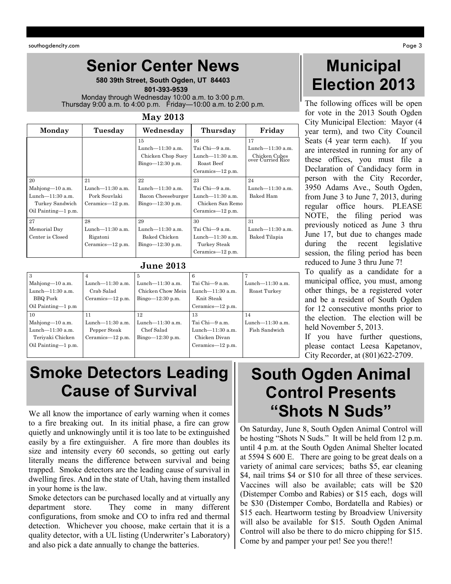## **Senior Center News**

**580 39th Street, South Ogden, UT 84403**  **801-393-9539** Monday through Wednesday 10:00 a.m. to 3:00 p.m.

Thursday 9:00 a.m. to 4:00 p.m. Friday—10:00 a.m. to 2:00 p.m.

#### **May 2013**

| Monday                                                    | Tuesday                                                     | Wednesday                                                    | Thursday                                                  | Friday                             |
|-----------------------------------------------------------|-------------------------------------------------------------|--------------------------------------------------------------|-----------------------------------------------------------|------------------------------------|
|                                                           |                                                             | 15<br>Lunch-11:30 a.m.                                       | 16<br>Tai Chi-9 a.m.                                      | 17<br>Lunch $-11:30$ a.m.          |
|                                                           |                                                             | Chicken Chop Suey<br>$Bingo=12:30 p.m.$                      | Lunch $-11:30$ a.m.<br>Roast Beef<br>Ceramics-12 p.m.     | Chicken Cubes<br>over Curried Rice |
| 20                                                        | 21                                                          | 22                                                           | 23                                                        | 24                                 |
| Mahjong-10 a.m.<br>Lunch $-11:30$ a.m.<br>Turkey Sandwich | Lunch $-11:30$ a.m.<br>Pork Souvlaki<br>Ceramics— $12$ p.m. | Lunch-11:30 a.m.<br>Bacon Cheeseburger<br>$Bingo=12:30 p.m.$ | Tai Chi-9 a.m.<br>Lunch $-11:30$ a.m.<br>Chicken San Remo | Lunch $-11:30$ a.m.<br>Baked Ham   |
| Oil Painting—1 p.m.                                       |                                                             |                                                              | Ceramics— $12$ p.m.                                       |                                    |
| 27                                                        | 28                                                          | 29                                                           | 30                                                        | 31                                 |
| Memorial Day                                              | Lunch $-11:30$ a.m.                                         | Lunch $-11:30$ a.m.                                          | Tai Chi-9 a.m.                                            | Lunch $-11:30$ a.m.                |
| Center is Closed                                          | Rigatoni                                                    | Baked Chicken                                                | Lunch $-11:30$ a.m.                                       | Baked Tilapia                      |
|                                                           | Ceramics— $12$ p.m.                                         | $Bingo=12:30 p.m.$                                           | Turkey Steak                                              |                                    |
|                                                           |                                                             |                                                              | Ceramics— $12$ p.m.                                       |                                    |

## **June 2013**

| 3                   | 4                   |                    | 6                   |                     |
|---------------------|---------------------|--------------------|---------------------|---------------------|
| Mahjong-10 a.m.     | Lunch-11:30 a.m.    | Lunch—11:30 a.m.   | Tai Chi-9 a.m.      | Lunch $-11:30$ a.m. |
| Lunch $-11:30$ a.m. | Crab Salad          | Chicken Chow Mein  | Lunch $-11:30$ a.m. | Roast Turkey        |
| BBQ Pork            | Ceramics- $12$ p.m. | $Bingo=12:30 p.m.$ | Knit Steak          |                     |
| Oil Painting-1 p.m. |                     |                    | Ceramics— $12$ p.m. |                     |
| 10                  | 11                  | 12                 | 13                  | 14                  |
| Mahjong-10 a.m.     | Lunch-11:30 a.m.    | Lunch-11:30 a.m.   | Tai Chi-9 a.m.      | Lunch-11:30 a.m.    |
| Lunch- $11:30$ a.m. | Pepper Steak        | Chef Salad         | Lunch $-11:30$ a.m. | Fish Sandwich       |
| Teriyaki Chicken    | Ceramics-12 p.m.    | $Bingo=12:30 p.m.$ | Chicken Divan       |                     |
| Oil Painting-1 p.m. |                     |                    | Ceramics— $12$ p.m. |                     |
|                     |                     |                    |                     |                     |

# **Smoke Detectors Leading Cause of Survival**

We all know the importance of early warning when it comes to a fire breaking out. In its initial phase, a fire can grow quietly and unknowingly until it is too late to be extinguished easily by a fire extinguisher. A fire more than doubles its size and intensity every 60 seconds, so getting out early literally means the difference between survival and being trapped. Smoke detectors are the leading cause of survival in dwelling fires. And in the state of Utah, having them installed in your home is the law.

Smoke detectors can be purchased locally and at virtually any department store. They come in many different configurations, from smoke and CO to infra red and thermal detection. Whichever you choose, make certain that it is a quality detector, with a UL listing (Underwriter's Laboratory) and also pick a date annually to change the batteries.

# **Municipal Election 2013**

The following offices will be open for vote in the 2013 South Ogden City Municipal Election: Mayor (4 year term), and two City Council Seats (4 year term each). If you are interested in running for any of these offices, you must file a Declaration of Candidacy form in person with the City Recorder, 3950 Adams Ave., South Ogden, from June 3 to June 7, 2013, during regular office hours. PLEASE NOTE, the filing period was previously noticed as June 3 thru June 17, but due to changes made during the recent legislative session, the filing period has been reduced to June 3 thru June 7!

To qualify as a candidate for a municipal office, you must, among other things, be a registered voter and be a resident of South Ogden for 12 consecutive months prior to the election. The election will be held November 5, 2013.

If you have further questions, please contact Leesa Kapetanov, City Recorder, at (801)622-2709.

# **South Ogden Animal Control Presents "Shots N Suds"**

On Saturday, June 8, South Ogden Animal Control will be hosting "Shots N Suds." It will be held from 12 p.m. until 4 p.m. at the South Ogden Animal Shelter located at 5594 S 600 E. There are going to be great deals on a variety of animal care services; baths \$5, ear cleaning \$4, nail trims \$4 or \$10 for all three of these services. Vaccines will also be available; cats will be \$20 (Distemper Combo and Rabies) or \$15 each, dogs will be \$30 (Distemper Combo, Bordatella and Rabies) or \$15 each. Heartworm testing by Broadview University will also be available for \$15. South Ogden Animal Control will also be there to do micro chipping for \$15. Come by and pamper your pet! See you there!!